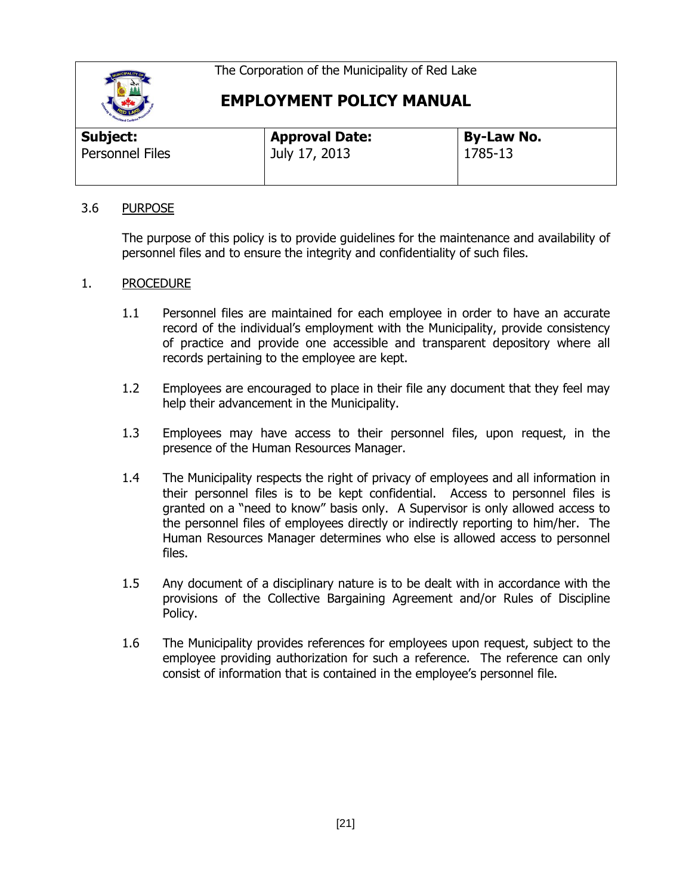The Corporation of the Municipality of Red Lake



**EMPLOYMENT POLICY MANUAL**

| <b>Approval Date:</b> | <b>By-Law No.</b> |  |
|-----------------------|-------------------|--|
| July 17, 2013         | 1785-13           |  |
|                       |                   |  |

## 3.6 PURPOSE

The purpose of this policy is to provide guidelines for the maintenance and availability of personnel files and to ensure the integrity and confidentiality of such files.

## 1. PROCEDURE

- 1.1 Personnel files are maintained for each employee in order to have an accurate record of the individual's employment with the Municipality, provide consistency of practice and provide one accessible and transparent depository where all records pertaining to the employee are kept.
- 1.2 Employees are encouraged to place in their file any document that they feel may help their advancement in the Municipality.
- 1.3 Employees may have access to their personnel files, upon request, in the presence of the Human Resources Manager.
- 1.4 The Municipality respects the right of privacy of employees and all information in their personnel files is to be kept confidential. Access to personnel files is granted on a "need to know" basis only. A Supervisor is only allowed access to the personnel files of employees directly or indirectly reporting to him/her. The Human Resources Manager determines who else is allowed access to personnel files.
- 1.5 Any document of a disciplinary nature is to be dealt with in accordance with the provisions of the Collective Bargaining Agreement and/or Rules of Discipline Policy.
- 1.6 The Municipality provides references for employees upon request, subject to the employee providing authorization for such a reference. The reference can only consist of information that is contained in the employee's personnel file.